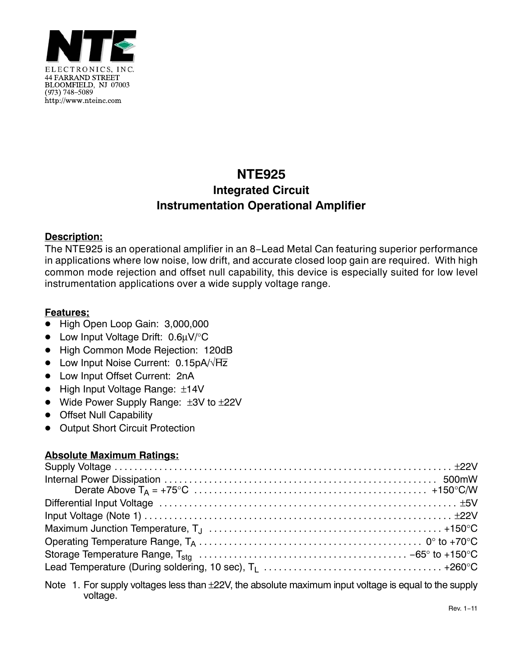

# **NTE925**

# **Integrated Circuit Instrumentation Operational Amplifier**

## **Description:**

The NTE925 is an operational amplifier in an 8−Lead Metal Can featuring superior performance in applications where low noise, low drift, and accurate closed loop gain are required. With high common mode rejection and offset null capability, this device is especially suited for low level instrumentation applications over a wide supply voltage range.

### **Features;**

- High Open Loop Gain: 3,000,000
- Low Input Voltage Drift: 0.6μV/°C
- High Common Mode Rejection: 120dB
- Low Input Noise Current: 0.15pA/ $\sqrt{Hz}$
- Low Input Offset Current: 2nA
- High Input Voltage Range: ±14V
- Wide Power Supply Range: ±3V to ±22V
- Offset Null Capability
- Output Short Circuit Protection

## **Absolute Maximum Ratings:**

Note 1. For supply voltages less than ±22V, the absolute maximum input voltage is equal to the supply voltage.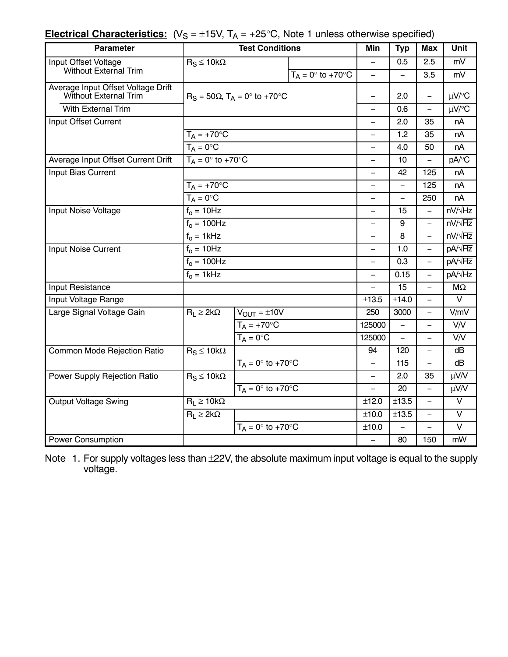|  |  | <b><u>Electrical Characteristics:</u></b> (V <sub>S</sub> = ±15V, T <sub>A</sub> = +25°C, Note 1 unless otherwise specified) |
|--|--|------------------------------------------------------------------------------------------------------------------------------|
|--|--|------------------------------------------------------------------------------------------------------------------------------|

| <b>Parameter</b>                   | <b>Test Conditions</b>            |                                             |                                  | Min                      | <b>Typ</b>               | <b>Max</b>               | <b>Unit</b>       |
|------------------------------------|-----------------------------------|---------------------------------------------|----------------------------------|--------------------------|--------------------------|--------------------------|-------------------|
| <b>Input Offset Voltage</b>        | $R_S \leq 10k\Omega$              |                                             |                                  | $\qquad \qquad -$        | 0.5                      | 2.5                      | mV                |
| <b>Without External Trim</b>       |                                   |                                             | $T_A = 0^\circ$ to +70 $\circ$ C | $\equiv$                 | $\overline{\phantom{0}}$ | 3.5                      | mV                |
| Average Input Offset Voltage Drift |                                   |                                             |                                  |                          |                          |                          |                   |
| Without External Trim              |                                   | $R_S = 50\Omega$ , $T_A = 0^\circ$ to +70°C |                                  | $\overline{\phantom{m}}$ | 2.0                      | $\overline{\phantom{m}}$ | $\mu V$ /°C       |
| <b>With External Trim</b>          |                                   |                                             |                                  | $\overline{\phantom{0}}$ | 0.6                      | $\equiv$                 | $\mu$ V/°C        |
| Input Offset Current               |                                   |                                             | 2.0                              | 35                       | nA                       |                          |                   |
|                                    | $T_A = +70^{\circ}$ C             |                                             |                                  | $\overline{\phantom{0}}$ | 1.2                      | 35                       | nA                |
|                                    | $T_A = 0$ °C                      |                                             | 4.0                              | 50                       | nA                       |                          |                   |
| Average Input Offset Current Drift | $T_A = 0^\circ$ to +70 $^\circ$ C |                                             | $\overline{\phantom{a}}$         | 10                       | $\overline{\phantom{0}}$ | pA/°C                    |                   |
| Input Bias Current                 |                                   |                                             |                                  | $\overline{\phantom{0}}$ | 42                       | 125                      | nA                |
|                                    | $T_A = +70^{\circ}$ C             |                                             |                                  |                          | $\overline{\phantom{0}}$ | 125                      | nA                |
|                                    | $T_A = 0$ °C                      |                                             |                                  | $\overline{\phantom{0}}$ | $\overline{\phantom{0}}$ | 250                      | nA                |
| Input Noise Voltage                | $fo = 10Hz$                       |                                             |                                  | $\overline{\phantom{0}}$ | 15                       | $\overline{\phantom{0}}$ | $nV/\sqrt{Hz}$    |
|                                    | $f_0 = 100$ Hz                    |                                             |                                  |                          | 9                        | $\overline{\phantom{0}}$ | $nV/\sqrt{Hz}$    |
|                                    | $f_0 = 1$ kHz                     |                                             |                                  | $\overline{\phantom{0}}$ | 8                        | $\overline{\phantom{m}}$ | $nV/\sqrt{Hz}$    |
| Input Noise Current                | $fo = 10$ Hz                      |                                             |                                  | $-$                      | 1.0                      | $\equiv$                 | $pA/\sqrt{Hz}$    |
|                                    | $fo = 100$ Hz                     |                                             |                                  |                          | 0.3                      | $\overline{\phantom{0}}$ | $pA/\sqrt{Hz}$    |
|                                    |                                   |                                             | 0.15                             | $\overline{\phantom{m}}$ | $pA/\sqrt{Hz}$           |                          |                   |
| Input Resistance                   |                                   |                                             |                                  |                          | 15                       | $\equiv$                 | $M\Omega$         |
| Input Voltage Range                |                                   |                                             |                                  | ±13.5                    | ±14.0                    | $\equiv$                 | $\overline{\vee}$ |
| Large Signal Voltage Gain          | $R_L \geq 2k\Omega$               | $V_{OUT} = \pm 10V$                         |                                  | 250                      | 3000                     | $\qquad \qquad -$        | V/mV              |
|                                    |                                   | $T_A = +70$ °C                              |                                  | 125000                   | $\overline{\phantom{0}}$ | $\overline{\phantom{0}}$ | $\overline{V}N$   |
|                                    |                                   | $T_A = 0$ °C                                |                                  | 125000                   | $\overline{\phantom{0}}$ | $\overline{\phantom{0}}$ | V/V               |
| Common Mode Rejection Ratio        | $R_S \leq 10k\Omega$              |                                             |                                  | 94                       | 120                      | $\overline{\phantom{0}}$ | dB                |
|                                    |                                   | $T_A = 0^\circ$ to +70 $\circ$ C            |                                  |                          | 115                      |                          | $\overline{dB}$   |
| Power Supply Rejection Ratio       | $R_S \leq 10k\Omega$              |                                             |                                  | $\overline{\phantom{0}}$ | 2.0                      | 35                       | $\mu$ V/V         |
|                                    |                                   | $T_A = 0^\circ$ to +70 $\circ$ C            |                                  | $\overline{\phantom{0}}$ | 20                       | $\qquad \qquad -$        | $\mu V/V$         |
| <b>Output Voltage Swing</b>        | $R_L \geq 10k\Omega$              |                                             |                                  | ±12.0                    | ±13.5                    |                          | $\overline{\vee}$ |
|                                    | $R_L \geq 2k\Omega$               |                                             |                                  | ±10.0                    | ±13.5                    | $\qquad \qquad -$        | $\overline{\vee}$ |
|                                    |                                   | $T_A = 0^\circ$ to +70 $\circ$ C            |                                  | ±10.0                    | $\overline{\phantom{0}}$ | $\overline{\phantom{0}}$ | $\overline{\vee}$ |
| <b>Power Consumption</b>           |                                   |                                             |                                  |                          | 80                       | 150                      | mW                |

Note 1. For supply voltages less than ±22V, the absolute maximum input voltage is equal to the supply voltage.